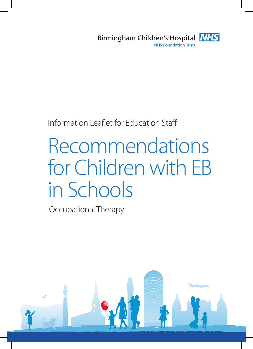

# Information Leaflet for Education Staff

# Recommendations for Children with EB in Schools

Occupational Therapy

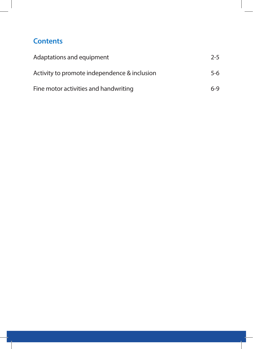# **Contents**

| Adaptations and equipment                    | $2 - 5$ |
|----------------------------------------------|---------|
| Activity to promote independence & inclusion | $5-6$   |
| Fine motor activities and handwriting        | 6-9     |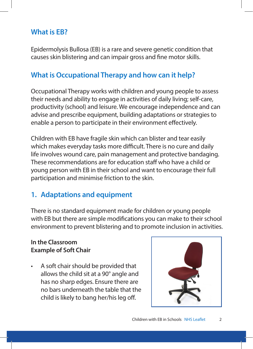# **What is EB?**

Epidermolysis Bullosa (EB) is a rare and severe genetic condition that causes skin blistering and can impair gross and fine motor skills.

## **What is Occupational Therapy and how can it help?**

Occupational Therapy works with children and young people to assess their needs and ability to engage in activities of daily living; self-care, productivity (school) and leisure. We encourage independence and can advise and prescribe equipment, building adaptations or strategies to enable a person to participate in their environment effectively.

Children with EB have fragile skin which can blister and tear easily which makes everyday tasks more difficult. There is no cure and daily life involves wound care, pain management and protective bandaging. These recommendations are for education staff who have a child or young person with EB in their school and want to encourage their full participation and minimise friction to the skin.

## **1. Adaptations and equipment**

There is no standard equipment made for children or young people with EB but there are simple modifications you can make to their school environment to prevent blistering and to promote inclusion in activities.

#### **In the Classroom Example of Soft Chair**

• A soft chair should be provided that allows the child sit at a 90° angle and has no sharp edges. Ensure there are no bars underneath the table that the child is likely to bang her/his leg off.

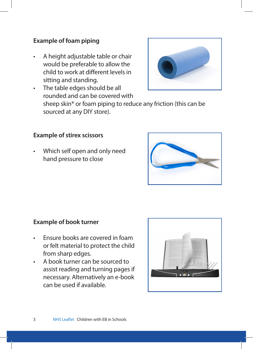#### **Example of foam piping**

- A height adjustable table or chair would be preferable to allow the child to work at different levels in sitting and standing.
- The table edges should be all rounded and can be covered with sheep skin\* or foam piping to reduce any friction (this can be sourced at any DIY store).

#### **Example of stirex scissors**

• Which self open and only need hand pressure to close



#### **Example of book turner**

- Ensure books are covered in foam or felt material to protect the child from sharp edges.
- A book turner can be sourced to assist reading and turning pages if necessary. Alternatively an e-book can be used if available.



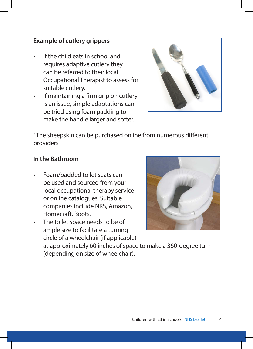#### **Example of cutlery grippers**

- If the child eats in school and requires adaptive cutlery they can be referred to their local Occupational Therapist to assess for suitable cutlery.
- If maintaining a firm grip on cutlery is an issue, simple adaptations can be tried using foam padding to make the handle larger and softer.



\*The sheepskin can be purchased online from numerous different providers

#### **In the Bathroom**

- Foam/padded toilet seats can be used and sourced from your local occupational therapy service or online catalogues. Suitable companies include NRS, Amazon, Homecraft, Boots.
- The toilet space needs to be of ample size to facilitate a turning circle of a wheelchair (if applicable)



at approximately 60 inches of space to make a 360-degree turn (depending on size of wheelchair).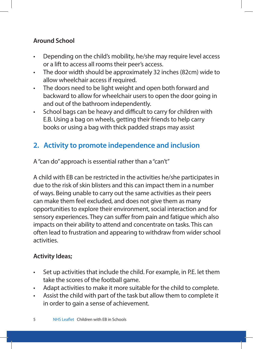## **Around School**

- Depending on the child's mobility, he/she may require level access or a lift to access all rooms their peer's access.
- The door width should be approximately 32 inches (82cm) wide to allow wheelchair access if required.
- The doors need to be light weight and open both forward and backward to allow for wheelchair users to open the door going in and out of the bathroom independently.
- School bags can be heavy and difficult to carry for children with E.B. Using a bag on wheels, getting their friends to help carry books or using a bag with thick padded straps may assist

# **2. Activity to promote independence and inclusion**

A "can do" approach is essential rather than a "can't"

A child with EB can be restricted in the activities he/she participates in due to the risk of skin blisters and this can impact them in a number of ways. Being unable to carry out the same activities as their peers can make them feel excluded, and does not give them as many opportunities to explore their environment, social interaction and for sensory experiences. They can suffer from pain and fatigue which also impacts on their ability to attend and concentrate on tasks. This can often lead to frustration and appearing to withdraw from wider school activities.

## **Activity Ideas;**

- Set up activities that include the child. For example, in P.E. let them take the scores of the football game.
- Adapt activities to make it more suitable for the child to complete.
- Assist the child with part of the task but allow them to complete it in order to gain a sense of achievement.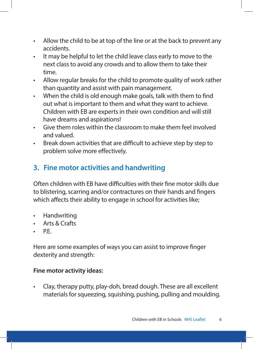- Allow the child to be at top of the line or at the back to prevent any accidents.
- It may be helpful to let the child leave class early to move to the next class to avoid any crowds and to allow them to take their time.
- Allow regular breaks for the child to promote quality of work rather than quantity and assist with pain management.
- When the child is old enough make goals, talk with them to find out what is important to them and what they want to achieve. Children with EB are experts in their own condition and will still have dreams and aspirations!
- Give them roles within the classroom to make them feel involved and valued.
- Break down activities that are difficult to achieve step by step to problem solve more effectively.

# **3. Fine motor activities and handwriting**

Often children with EB have difficulties with their fine motor skills due to blistering, scarring and/or contractures on their hands and fingers which affects their ability to engage in school for activities like;

- Handwriting
- Arts & Crafts
- P.E.

Here are some examples of ways you can assist to improve finger dexterity and strength:

#### **Fine motor activity ideas:**

• Clay, therapy putty, play-doh, bread dough. These are all excellent materials for squeezing, squishing, pushing, pulling and moulding.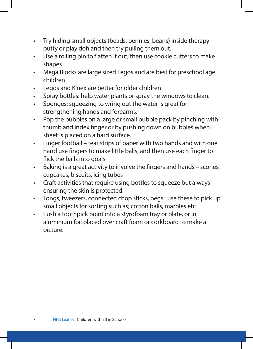- Try hiding small objects (beads, pennies, beans) inside therapy putty or play doh and then try pulling them out.
- Use a rolling pin to flatten it out, then use cookie cutters to make shapes
- Mega Blocks are large sized Legos and are best for preschool age children
- Legos and K'nex are better for older children
- Spray bottles: help water plants or spray the windows to clean.
- Sponges: squeezing to wring out the water is great for strengthening hands and forearms.
- Pop the bubbles on a large or small bubble pack by pinching with thumb and index finger or by pushing down on bubbles when sheet is placed on a hard surface.
- Finger football tear strips of paper with two hands and with one hand use fingers to make little balls, and then use each finger to flick the balls into goals.
- Baking is a great activity to involve the fingers and hands scones, cupcakes, biscuits, icing tubes
- Craft activities that require using bottles to squeeze but always ensuring the skin is protected.
- Tongs, tweezers, connected chop sticks, pegs: use these to pick up small objects for sorting such as; cotton balls, marbles etc
- Push a toothpick point into a styrofoam tray or plate, or in aluminium foil placed over craft foam or corkboard to make a picture.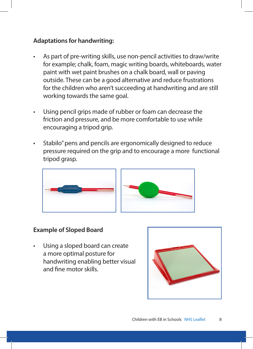#### **Adaptations for handwriting:**

- As part of pre-writing skills, use non-pencil activities to draw/write for example; chalk, foam, magic writing boards, whiteboards, water paint with wet paint brushes on a chalk board, wall or paving outside. These can be a good alternative and reduce frustrations for the children who aren't succeeding at handwriting and are still working towards the same goal.
- Using pencil grips made of rubber or foam can decrease the friction and pressure, and be more comfortable to use while encouraging a tripod grip.
- Stabilo" pens and pencils are ergonomically designed to reduce pressure required on the grip and to encourage a more functional tripod grasp.



#### **Example of Sloped Board**

Using a sloped board can create a more optimal posture for handwriting enabling better visual and fine motor skills.

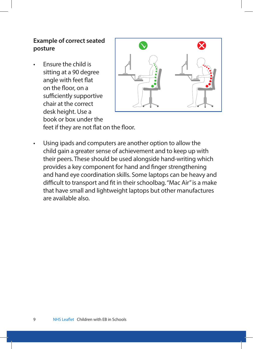## **Example of correct seated posture**

• Ensure the child is sitting at a 90 degree angle with feet flat on the floor, on a sufficiently supportive chair at the correct desk height. Use a book or box under the



feet if they are not flat on the floor.

Using ipads and computers are another option to allow the child gain a greater sense of achievement and to keep up with their peers. These should be used alongside hand-writing which provides a key component for hand and finger strengthening and hand eye coordination skills. Some laptops can be heavy and difficult to transport and fit in their schoolbag. "Mac Air" is a make that have small and lightweight laptops but other manufactures are available also.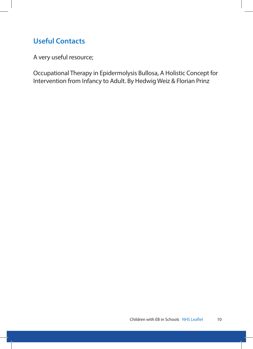# **Useful Contacts**

A very useful resource;

Occupational Therapy in Epidermolysis Bullosa, A Holistic Concept for Intervention from Infancy to Adult. By Hedwig Weiz & Florian Prinz